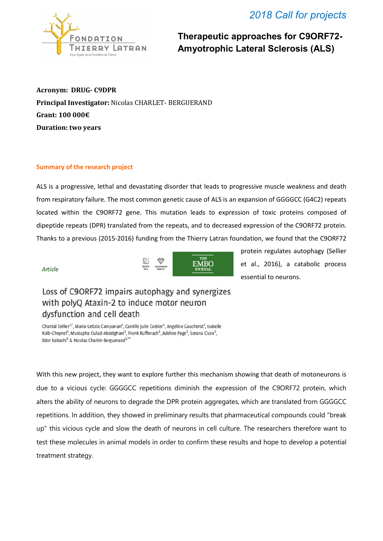## *2018 Call for projects*



**Therapeutic approaches for C9ORF72- Amyotrophic Lateral Sclerosis (ALS)**

**Acronym: DRUG- C9DPR Principal Investigator:** Nicolas CHARLET- BERGUERAND **Grant: 100 000€ Duration: two years**

## **Summary of the research project**

ALS is a progressive, lethal and devastating disorder that leads to progressive muscle weakness and death from respiratory failure. The most common genetic cause of ALS is an expansion of GGGGCC (G4C2) repeats located within the C9ORF72 gene. This mutation leads to expression of toxic proteins composed of dipeptide repeats (DPR) translated from the repeats, and to decreased expression of the C9ORF72 protein. Thanks to a previous (2015-2016) funding from the Thierry Latran foundation, we found that the C9ORF72

Article



protein regulates autophagy (Sellier et al., 2016), a catabolic process essential to neurons.

## Loss of C9ORF72 impairs autophagy and synergizes with polyQ Ataxin-2 to induce motor neuron dysfunction and cell death

Chantal Sellier<sup>1,\*</sup>, Maria-Letizia Campanari<sup>2</sup>, Camille Julie Corbier<sup>1</sup>, Angeline Gaucherot<sup>1</sup>, Isabelle Kolb-Cheynel<sup>1</sup>, Mustapha Oulad-Abdelghani<sup>1</sup>, Frank Ruffenach<sup>1</sup>, Adeline Page<sup>1</sup>, Sorana Ciura<sup>2</sup>, Edor Kabashi<sup>2</sup> & Nicolas Charlet-Berguerand<sup>1</sup>,\*\*

With this new project, they want to explore further this mechanism showing that death of motoneurons is due to a vicious cycle: GGGGCC repetitions diminish the expression of the C9ORF72 protein, which alters the ability of neurons to degrade the DPR protein aggregates, which are translated from GGGGCC repetitions. In addition, they showed in preliminary results that pharmaceutical compounds could "break up" this vicious cycle and slow the death of neurons in cell culture. The researchers therefore want to test these molecules in animal models in order to confirm these results and hope to develop a potential treatment strategy.